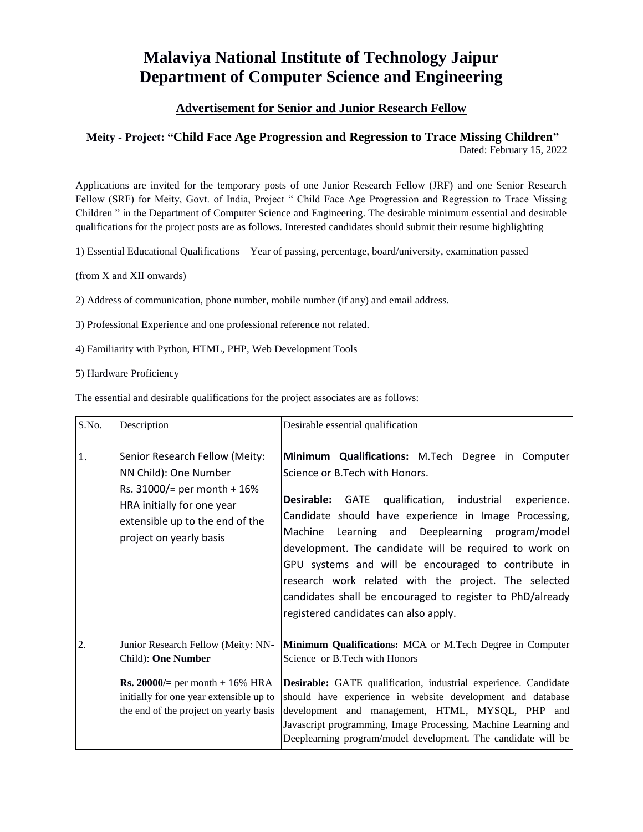## **Malaviya National Institute of Technology Jaipur Department of Computer Science and Engineering**

## **Advertisement for Senior and Junior Research Fellow**

## **Meity - Project: "Child Face Age Progression and Regression to Trace Missing Children"**  Dated: February 15, 2022

Applications are invited for the temporary posts of one Junior Research Fellow (JRF) and one Senior Research Fellow (SRF) for Meity, Govt. of India, Project " Child Face Age Progression and Regression to Trace Missing Children " in the Department of Computer Science and Engineering. The desirable minimum essential and desirable qualifications for the project posts are as follows. Interested candidates should submit their resume highlighting

1) Essential Educational Qualifications – Year of passing, percentage, board/university, examination passed

(from X and XII onwards)

- 2) Address of communication, phone number, mobile number (if any) and email address.
- 3) Professional Experience and one professional reference not related.
- 4) Familiarity with Python, HTML, PHP, Web Development Tools
- 5) Hardware Proficiency

The essential and desirable qualifications for the project associates are as follows:

| S.No. | Description                                                                                                                                                                              | Desirable essential qualification                                                                                                                                                                                                                                                                                                                                                                                                                                                                                                                     |
|-------|------------------------------------------------------------------------------------------------------------------------------------------------------------------------------------------|-------------------------------------------------------------------------------------------------------------------------------------------------------------------------------------------------------------------------------------------------------------------------------------------------------------------------------------------------------------------------------------------------------------------------------------------------------------------------------------------------------------------------------------------------------|
| 1.    | Senior Research Fellow (Meity:<br>NN Child): One Number<br>Rs. $31000/$ = per month + 16%<br>HRA initially for one year<br>extensible up to the end of the<br>project on yearly basis    | Minimum Qualifications: M.Tech Degree in Computer<br>Science or B. Tech with Honors.<br><b>Desirable:</b><br>GATE qualification, industrial<br>experience.<br>Candidate should have experience in Image Processing,<br>Machine Learning and Deeplearning program/model<br>development. The candidate will be required to work on<br>GPU systems and will be encouraged to contribute in<br>research work related with the project. The selected<br>candidates shall be encouraged to register to PhD/already<br>registered candidates can also apply. |
| 2.    | Junior Research Fellow (Meity: NN-<br>Child): One Number<br><b>Rs. 20000/</b> = per month + 16% HRA<br>initially for one year extensible up to<br>the end of the project on yearly basis | Minimum Qualifications: MCA or M.Tech Degree in Computer<br>Science or B.Tech with Honors<br>Desirable: GATE qualification, industrial experience. Candidate<br>should have experience in website development and database<br>development and management, HTML, MYSQL, PHP and<br>Javascript programming, Image Processing, Machine Learning and<br>Deeplearning program/model development. The candidate will be                                                                                                                                     |